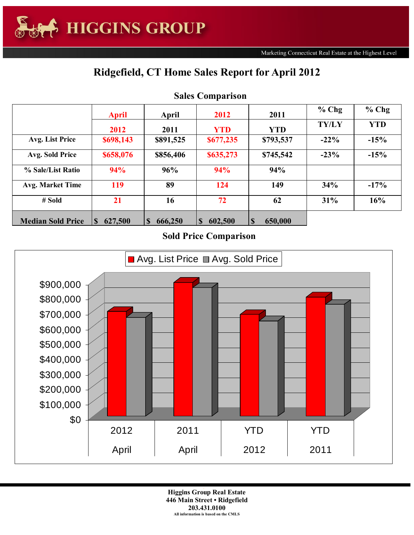## **Ridgefield, CT Home Sales Report for April 2012**

|                          | <b>April</b>        | April     | 2012                    | 2011         | $%$ Chg      | $%$ Chg    |
|--------------------------|---------------------|-----------|-------------------------|--------------|--------------|------------|
|                          | 2012                | 2011      | <b>YTD</b>              | <b>YTD</b>   | <b>TY/LY</b> | <b>YTD</b> |
| Avg. List Price          | \$698,143           | \$891,525 | \$677,235               | \$793,537    | $-22\%$      | $-15%$     |
| Avg. Sold Price          | \$658,076           | \$856,406 | \$635,273               | \$745,542    | $-23%$       | $-15%$     |
| % Sale/List Ratio        | 94%                 | 96%       | 94%                     | 94%          |              |            |
| <b>Avg. Market Time</b>  | 119                 | 89        | 124                     | 149          | 34%          | $-17%$     |
| $#$ Sold                 | 21                  | 16        | 72                      | 62           | 31%          | 16%        |
| <b>Median Sold Price</b> | 627,500<br><b>S</b> | 666,250   | 602,500<br><sup>S</sup> | S<br>650,000 |              |            |

## **Sales Comparison**

## **Sold Price Comparison**